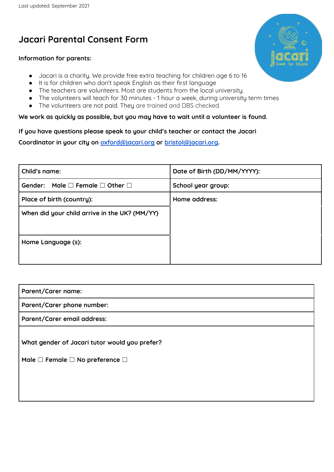# **Jacari Parental Consent Form**

### **Information for parents:**

- Jacari is a charity. We provide free extra teaching for children age 6 to 16
- It is for children who don't speak English as their first language
- The teachers are volunteers. Most are students from the local university.
- The volunteers will teach for 30 minutes 1 hour a week, during university term times
- The volunteers are not paid. They are trained and DBS checked.

### **We work as quickly as possible, but you may have to wait until a volunteer is found.**

### **If you have questions please speak to your child's teacher or contact the Jacari**

**Coordinator in your city on [oxford@jacari.org](mailto:oxford@jacari.org) or [bristol@jacari.org](mailto:bristol@jacari.org).**

| Child's name:                                           | Date of Birth (DD/MM/YYYY): |
|---------------------------------------------------------|-----------------------------|
| Gender: Male $\square$ Female $\square$ Other $\square$ | School year group:          |
| Place of birth (country):                               | Home address:               |
| When did your child arrive in the UK? (MM/YY)           |                             |
|                                                         |                             |
| Home Language (s):                                      |                             |
|                                                         |                             |

| Parent/Carer name:                                                                                       |
|----------------------------------------------------------------------------------------------------------|
| Parent/Carer phone number:                                                                               |
| Parent/Carer email address:                                                                              |
| What gender of Jacari tutor would you prefer?<br>Male $\square$ Female $\square$ No preference $\square$ |

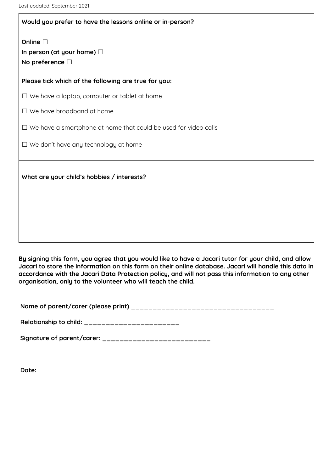## **Would you prefer to have the lessons online or in-person?**

**Online** □ **In person (at your home)** ☐ **No preference** ☐

**Please tick which of the following are true for you:**

 $\Box$  We have a laptop, computer or tablet at home

☐ We have broadband at home

☐ We have a smartphone at home that could be used for video calls

 $\Box$  We don't have any technology at home

**What are your child's hobbies / interests?**

By signing this form, you agree that you would like to have a Jacari tutor for your child, and allow Jacari to store the information on this form on their online database. Jacari will handle this data in **accordance with the Jacari Data Protection policy, and will not pass this information to any other organisation, only to the volunteer who will teach the child.**

**Name of parent/carer (please print) \_\_\_\_\_\_\_\_\_\_\_\_\_\_\_\_\_\_\_\_\_\_\_\_\_\_\_\_\_\_\_\_\_**

**Relationship to child: \_\_\_\_\_\_\_\_\_\_\_\_\_\_\_\_\_\_\_\_\_\_**

**Signature of parent/carer: \_\_\_\_\_\_\_\_\_\_\_\_\_\_\_\_\_\_\_\_\_\_\_\_\_**

**Date:**